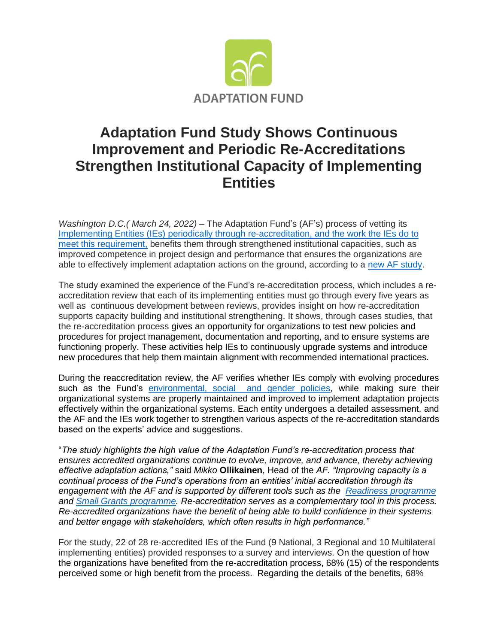

## **Adaptation Fund Study Shows Continuous Improvement and Periodic Re-Accreditations Strengthen Institutional Capacity of Implementing Entities**

*Washington D.C.( March 24, 2022)* – The Adaptation Fund's (AF's) process of vetting its [Implementing Entities \(IEs\)](https://www.adaptation-fund.org/apply-funding/implementing-entities/) periodically through [re-accreditation,](https://www.adaptation-fund.org/apply-funding/accreditation/) and the work the IEs do to meet this requirement, benefits them through strengthened institutional capacities, such as improved competence in project design and performance that ensures the organizations are able to effectively implement adaptation actions on the ground, according to a [new AF study.](https://www.adaptation-fund.org/document/lessons-learned-from-the-continuous-process-of-capacity-strengthening-of-implementing-entities-through-re-accreditation-to-the-adaptation-fund/)

The study examined the experience of the Fund's re-accreditation process, which includes a reaccreditation review that each of its implementing entities must go through every five years as well as continuous development between reviews, provides insight on how re-accreditation supports capacity building and institutional strengthening. It shows, through cases studies, that the re-accreditation process gives an opportunity for organizations to test new policies and procedures for project management, documentation and reporting, and to ensure systems are functioning properly. These activities help IEs to continuously upgrade systems and introduce new procedures that help them maintain alignment with recommended international practices.

During the reaccreditation review, the AF verifies whether IEs comply with evolving procedures such as the Fund's [environmental, social and gender policies,](https://www.adaptation-fund.org/document/environmental-and-social-policy-approved-in-november-2013/) while making sure their organizational systems are properly maintained and improved to implement adaptation projects effectively within the organizational systems. Each entity undergoes a detailed assessment, and the AF and the IEs work together to strengthen various aspects of the re-accreditation standards based on the experts' advice and suggestions.

"*The study highlights the high value of the Adaptation Fund's re-accreditation process that ensures accredited organizations continue to evolve, improve, and advance, thereby achieving effective adaptation actions,"* said *Mikko* **Ollikainen**, Head of the *AF. "Improving capacity is a continual process of the Fund's operations from an entities' initial accreditation through its engagement with the AF and is supported by different tools such as the [Readiness programme](https://www.adaptation-fund.org/readiness/) and [Small Grants programme.](https://www.adaptation-fund.org/apply-funding/innovation-grants/nie-small-grants-for-innovation/) Re-accreditation serves as a complementary tool in this process. Re-accredited organizations have the benefit of being able to build confidence in their systems and better engage with stakeholders, which often results in high performance."*

For the study, 22 of 28 re-accredited IEs of the Fund (9 National, 3 Regional and 10 Multilateral implementing entities) provided responses to a survey and interviews. On the question of how the organizations have benefited from the re-accreditation process, 68% (15) of the respondents perceived some or high benefit from the process. Regarding the details of the benefits, 68%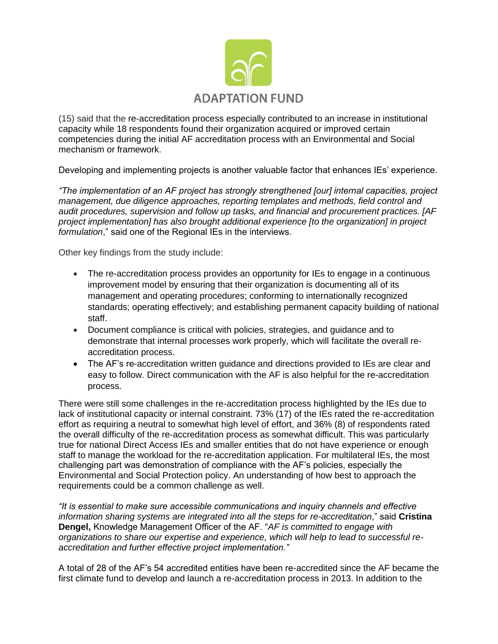

(15) said that the re-accreditation process especially contributed to an increase in institutional capacity while 18 respondents found their organization acquired or improved certain competencies during the initial AF accreditation process with an Environmental and Social mechanism or framework.

Developing and implementing projects is another valuable factor that enhances IEs' experience.

*"The implementation of an AF project has strongly strengthened [our] internal capacities, project management, due diligence approaches, reporting templates and methods, field control and audit procedures, supervision and follow up tasks, and financial and procurement practices. [AF project implementation] has also brought additional experience [to the organization] in project formulation*," said one of the Regional IEs in the interviews.

Other key findings from the study include:

- The re-accreditation process provides an opportunity for IEs to engage in a continuous improvement model by ensuring that their organization is documenting all of its management and operating procedures; conforming to internationally recognized standards; operating effectively; and establishing permanent capacity building of national staff.
- Document compliance is critical with policies, strategies, and guidance and to demonstrate that internal processes work properly, which will facilitate the overall reaccreditation process.
- The AF's re-accreditation written guidance and directions provided to IEs are clear and easy to follow. Direct communication with the AF is also helpful for the re-accreditation process.

There were still some challenges in the re-accreditation process highlighted by the IEs due to lack of institutional capacity or internal constraint. 73% (17) of the IEs rated the re-accreditation effort as requiring a neutral to somewhat high level of effort, and 36% (8) of respondents rated the overall difficulty of the re-accreditation process as somewhat difficult. This was particularly true for national Direct Access IEs and smaller entities that do not have experience or enough staff to manage the workload for the re-accreditation application. For multilateral IEs, the most challenging part was demonstration of compliance with the AF's policies, especially the Environmental and Social Protection policy. An understanding of how best to approach the requirements could be a common challenge as well.

*"It is essential to make sure accessible communications and inquiry channels and effective information sharing systems are integrated into all the steps for re-accreditation*," said **Cristina Dengel,** Knowledge Management Officer of the AF. "*AF is committed to engage with organizations to share our expertise and experience, which will help to lead to successful reaccreditation and further effective project implementation."*

A total of 28 of the AF's 54 accredited entities have been re-accredited since the AF became the first climate fund to develop and launch a re-accreditation process in 2013. In addition to the